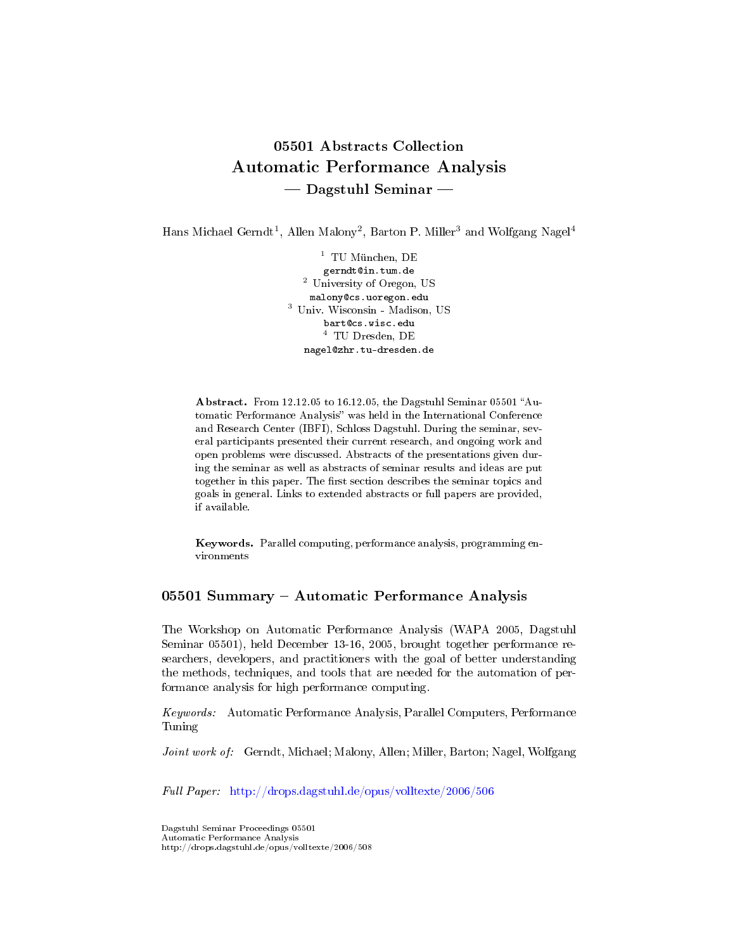# 05501 Abstracts Collection Automatic Performance Analysis  $-$  Dagstuhl Seminar  $-$

Hans Michael Gerndt<sup>1</sup>, Allen Malony<sup>2</sup>, Barton P. Miller<sup>3</sup> and Wolfgang Nagel<sup>4</sup>

 $^1\,$  TU München, DE gerndt@in.tum.de <sup>2</sup> University of Oregon, US malony@cs.uoregon.edu <sup>3</sup> Univ. Wisconsin - Madison, US bart@cs.wisc.edu <sup>4</sup> TU Dresden, DE nagel@zhr.tu-dresden.de

Abstract. From 12.12.05 to 16.12.05, the Dagstuhl Seminar 05501 "Automatic Performance Analysis" was held in the International Conference and Research Center (IBFI), Schloss Dagstuhl. During the seminar, several participants presented their current research, and ongoing work and open problems were discussed. Abstracts of the presentations given during the seminar as well as abstracts of seminar results and ideas are put together in this paper. The first section describes the seminar topics and goals in general. Links to extended abstracts or full papers are provided, if available.

Keywords. Parallel computing, performance analysis, programming environments

#### 05501 Summary - Automatic Performance Analysis

The Workshop on Automatic Performance Analysis (WAPA 2005, Dagstuhl Seminar 05501), held December 13-16, 2005, brought together performance researchers, developers, and practitioners with the goal of better understanding the methods, techniques, and tools that are needed for the automation of performance analysis for high performance computing.

Keywords: Automatic Performance Analysis, Parallel Computers, Performance Tuning

Joint work of: Gerndt, Michael; Malony, Allen; Miller, Barton; Nagel, Wolfgang

Full Paper: <http://drops.dagstuhl.de/opus/volltexte/2006/506>

Dagstuhl Seminar Proceedings 05501 Automatic Performance Analysis http://drops.dagstuhl.de/opus/volltexte/2006/508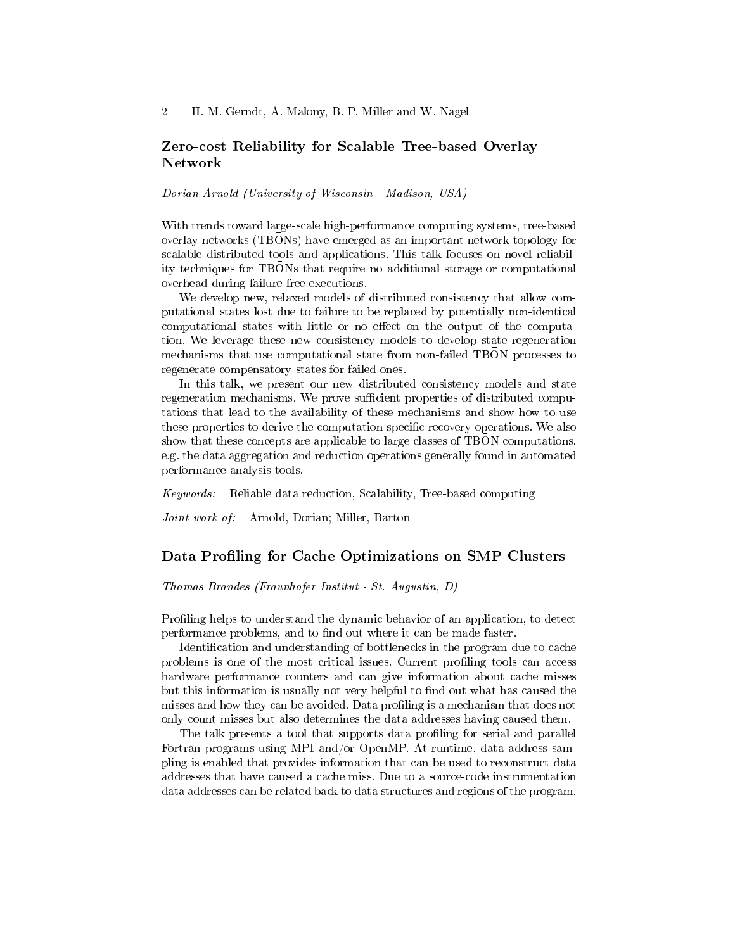### Zero-cost Reliability for Scalable Tree-based Overlay Network

Dorian Arnold (University of Wisconsin - Madison, USA)

With trends toward large-scale high-performance computing systems, tree-based overlay networks (TBONs) have emerged as an important network topology for scalable distributed tools and applications. This talk focuses on novel reliability techniques for TBONs that require no additional storage or computational overhead during failure-free executions.

We develop new, relaxed models of distributed consistency that allow computational states lost due to failure to be replaced by potentially non-identical computational states with little or no effect on the output of the computation. We leverage these new consistency models to develop state regeneration mechanisms that use computational state from non-failed TBON processes to regenerate compensatory states for failed ones.

In this talk, we present our new distributed consistency models and state regeneration mechanisms. We prove sufficient properties of distributed computations that lead to the availability of these mechanisms and show how to use these properties to derive the computation-specific recovery operations. We also show that these concepts are applicable to large classes of TBON computations, e.g. the data aggregation and reduction operations generally found in automated performance analysis tools.

Keywords: Reliable data reduction, Scalability, Tree-based computing

Joint work of: Arnold, Dorian; Miller, Barton

#### Data Profiling for Cache Optimizations on SMP Clusters

Thomas Brandes (Fraunhofer Institut - St. Augustin, D)

Profiling helps to understand the dynamic behavior of an application, to detect performance problems, and to find out where it can be made faster.

Identification and understanding of bottlenecks in the program due to cache problems is one of the most critical issues. Current proling tools can access hardware performance counters and can give information about cache misses but this information is usually not very helpful to find out what has caused the misses and how they can be avoided. Data profiling is a mechanism that does not only count misses but also determines the data addresses having caused them.

The talk presents a tool that supports data profiling for serial and parallel Fortran programs using MPI and/or OpenMP. At runtime, data address sampling is enabled that provides information that can be used to reconstruct data addresses that have caused a cache miss. Due to a source-code instrumentation data addresses can be related back to data structures and regions of the program.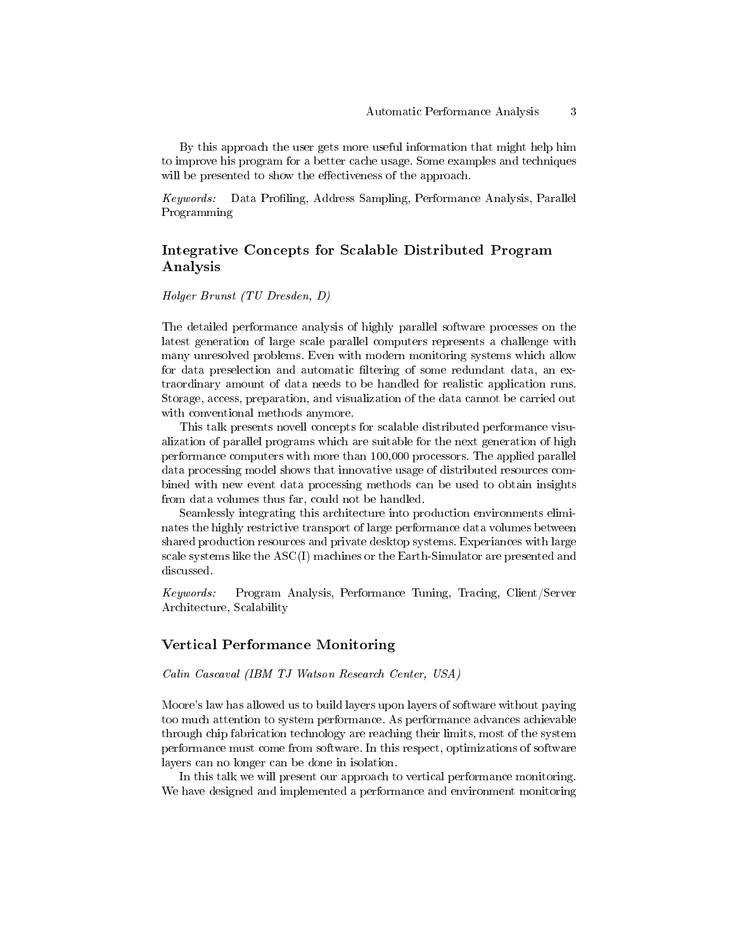By this approach the user gets more useful information that might help him to improve his program for a better cache usage. Some examples and techniques will be presented to show the effectiveness of the approach.

Keywords: Data Profiling, Address Sampling, Performance Analysis, Parallel Programming

## Integrative Concepts for Scalable Distributed Program Analysis

#### Holger Brunst (TU Dresden, D)

The detailed performance analysis of highly parallel software processes on the latest generation of large scale parallel computers represents a challenge with many unresolved problems. Even with modern monitoring systems which allow for data preselection and automatic filtering of some redundant data, an extraordinary amount of data needs to be handled for realistic application runs. Storage, access, preparation, and visualization of the data cannot be carried out with conventional methods anymore.

This talk presents novell concepts for scalable distributed performance visualization of parallel programs which are suitable for the next generation of high performance computers with more than 100,000 processors. The applied parallel data processing model shows that innovative usage of distributed resources combined with new event data processing methods can be used to obtain insights from data volumes thus far, could not be handled.

Seamlessly integrating this architecture into production environments eliminates the highly restrictive transport of large performance data volumes between shared production resources and private desktop systems. Experiances with large scale systems like the ASC(I) machines or the Earth-Simulator are presented and discussed.

Keywords: Program Analysis, Performance Tuning, Tracing, Client/Server Architecture, Scalability

#### Vertical Performance Monitoring

Calin Cascaval (IBM TJ Watson Research Center, USA)

Moore's law has allowed us to build layers upon layers of software without paying too much attention to system performance. As performance advances achievable through chip fabrication technology are reaching their limits, most of the system performance must come from software. In this respect, optimizations of software layers can no longer can be done in isolation.

In this talk we will present our approach to vertical performance monitoring. We have designed and implemented a performance and environment monitoring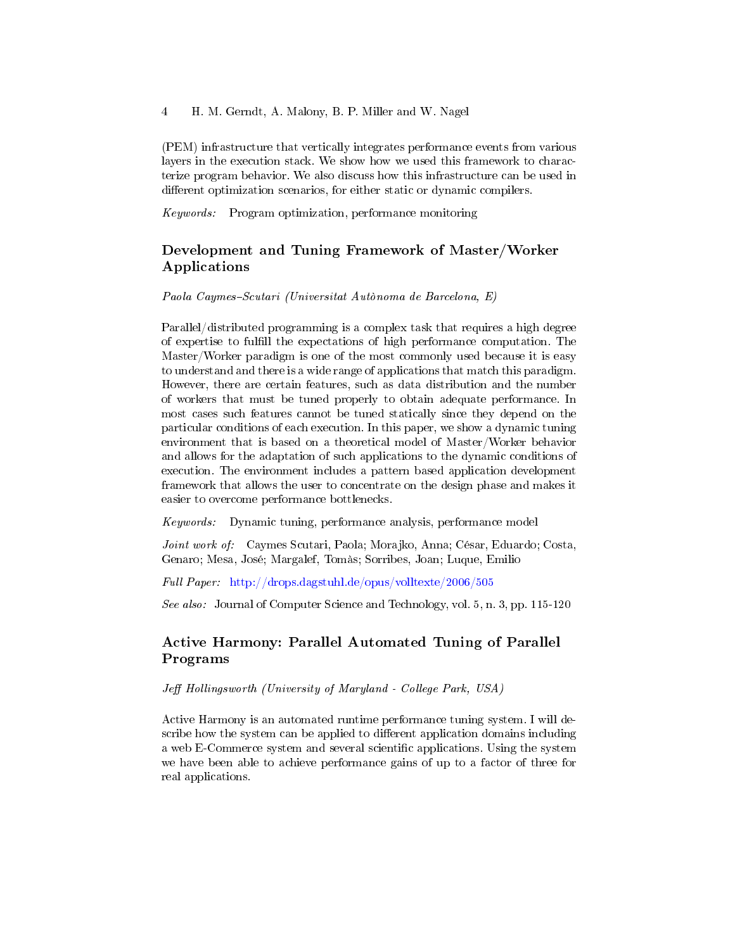4 H. M. Gerndt, A. Malony, B. P. Miller and W. Nagel

(PEM) infrastructure that vertically integrates performance events from various layers in the execution stack. We show how we used this framework to characterize program behavior. We also discuss how this infrastructure can be used in different optimization scenarios, for either static or dynamic compilers.

Keywords: Program optimization, performance monitoring

# Development and Tuning Framework of Master/Worker Applications

Paola Caymes-Scutari (Universitat Autònoma de Barcelona, E)

Parallel/distributed programming is a complex task that requires a high degree of expertise to fulll the expectations of high performance computation. The Master/Worker paradigm is one of the most commonly used because it is easy to understand and there is a wide range of applications that match this paradigm. However, there are certain features, such as data distribution and the number of workers that must be tuned properly to obtain adequate performance. In most cases such features cannot be tuned statically since they depend on the particular conditions of each execution. In this paper, we show a dynamic tuning environment that is based on a theoretical model of Master/Worker behavior and allows for the adaptation of such applications to the dynamic conditions of execution. The environment includes a pattern based application development framework that allows the user to concentrate on the design phase and makes it easier to overcome performance bottlenecks.

Keywords: Dynamic tuning, performance analysis, performance model

Joint work of: Caymes Scutari, Paola; Morajko, Anna; César, Eduardo; Costa, Genaro; Mesa, José; Margalef, Tomàs; Sorribes, Joan; Luque, Emilio

Full Paper: <http://drops.dagstuhl.de/opus/volltexte/2006/505>

See also: Journal of Computer Science and Technology, vol. 5, n. 3, pp. 115-120

# Active Harmony: Parallel Automated Tuning of Parallel Programs

Jeff Hollingsworth (University of Maryland - College Park, USA)

Active Harmony is an automated runtime performance tuning system. I will describe how the system can be applied to different application domains including a web E-Commerce system and several scientific applications. Using the system we have been able to achieve performance gains of up to a factor of three for real applications.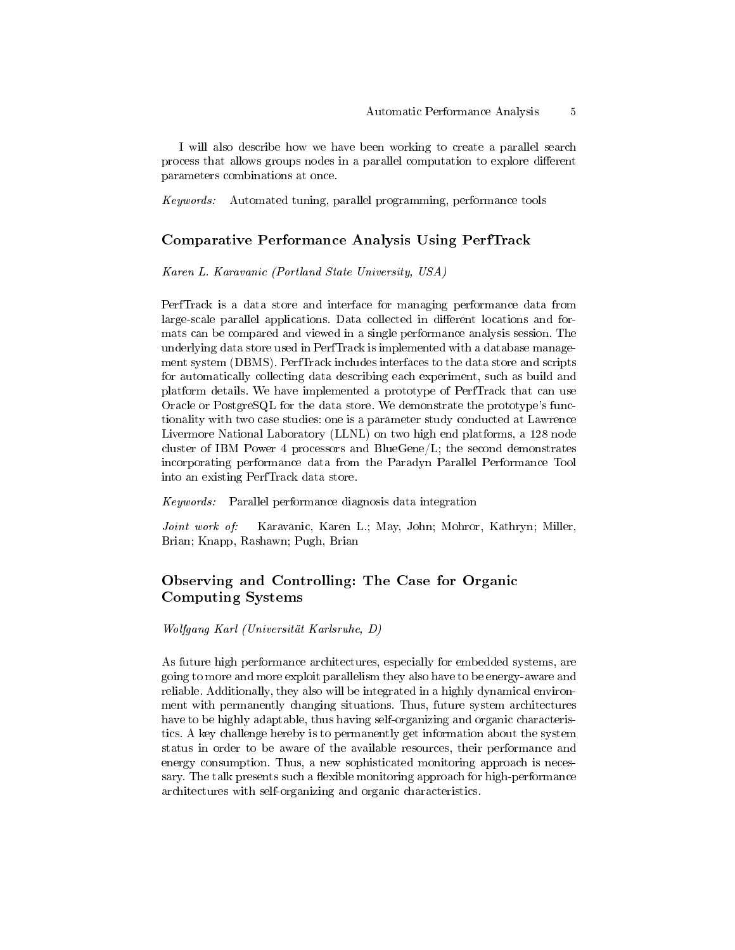I will also describe how we have been working to create a parallel search process that allows groups nodes in a parallel computation to explore different parameters combinations at once.

Keywords: Automated tuning, parallel programming, performance tools

### Comparative Performance Analysis Using PerfTrack

Karen L. Karavanic (Portland State University, USA)

PerfTrack is a data store and interface for managing performance data from large-scale parallel applications. Data collected in different locations and formats can be compared and viewed in a single performance analysis session. The underlying data store used in PerfTrack is implemented with a database management system (DBMS). PerfTrack includes interfaces to the data store and scripts for automatically collecting data describing each experiment, such as build and platform details. We have implemented a prototype of PerfTrack that can use Oracle or PostgreSQL for the data store. We demonstrate the prototype's functionality with two case studies: one is a parameter study conducted at Lawrence Livermore National Laboratory (LLNL) on two high end platforms, a 128 node cluster of IBM Power 4 processors and BlueGene/L; the second demonstrates incorporating performance data from the Paradyn Parallel Performance Tool into an existing PerfTrack data store.

Keywords: Parallel performance diagnosis data integration

Joint work of: Karavanic, Karen L.; May, John; Mohror, Kathryn; Miller, Brian; Knapp, Rashawn; Pugh, Brian

# Observing and Controlling: The Case for Organic Computing Systems

Wolfgang Karl (Universität Karlsruhe, D)

As future high performance architectures, especially for embedded systems, are going to more and more exploit parallelism they also have to be energy-aware and reliable. Additionally, they also will be integrated in a highly dynamical environment with permanently changing situations. Thus, future system architectures have to be highly adaptable, thus having self-organizing and organic characteristics. A key challenge hereby is to permanently get information about the system status in order to be aware of the available resources, their performance and energy consumption. Thus, a new sophisticated monitoring approach is necessary. The talk presents such a flexible monitoring approach for high-performance architectures with self-organizing and organic characteristics.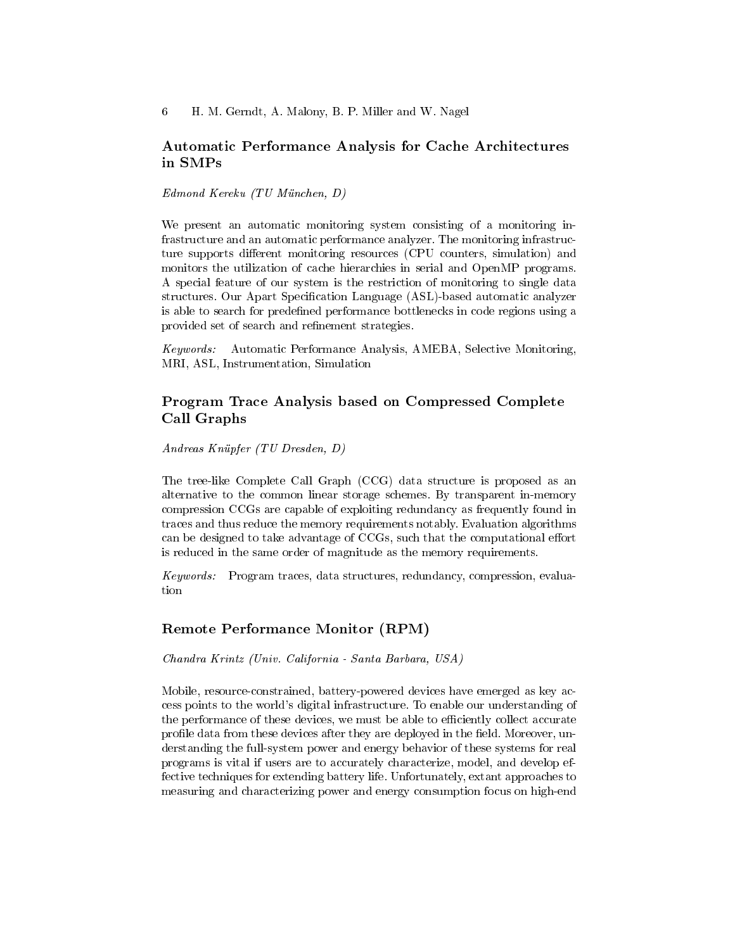### Automatic Performance Analysis for Cache Architectures in SMPs

Edmond Kereku (TU München, D)

We present an automatic monitoring system consisting of a monitoring infrastructure and an automatic performance analyzer. The monitoring infrastructure supports different monitoring resources (CPU counters, simulation) and monitors the utilization of cache hierarchies in serial and OpenMP programs. A special feature of our system is the restriction of monitoring to single data structures. Our Apart Specification Language (ASL)-based automatic analyzer is able to search for predefined performance bottlenecks in code regions using a provided set of search and refinement strategies.

Keywords: Automatic Performance Analysis, AMEBA, Selective Monitoring, MRI, ASL, Instrumentation, Simulation

# Program Trace Analysis based on Compressed Complete Call Graphs

Andreas Knüpfer (TU Dresden, D)

The tree-like Complete Call Graph (CCG) data structure is proposed as an alternative to the common linear storage schemes. By transparent in-memory compression CCGs are capable of exploiting redundancy as frequently found in traces and thus reduce the memory requirements notably. Evaluation algorithms can be designed to take advantage of CCGs, such that the computational effort is reduced in the same order of magnitude as the memory requirements.

Keywords: Program traces, data structures, redundancy, compression, evaluation

### Remote Performance Monitor (RPM)

Chandra Krintz (Univ. California - Santa Barbara, USA)

Mobile, resource-constrained, battery-powered devices have emerged as key access points to the world's digital infrastructure. To enable our understanding of the performance of these devices, we must be able to efficiently collect accurate profile data from these devices after they are deployed in the field. Moreover, understanding the full-system power and energy behavior of these systems for real programs is vital if users are to accurately characterize, model, and develop effective techniques for extending battery life. Unfortunately, extant approaches to measuring and characterizing power and energy consumption focus on high-end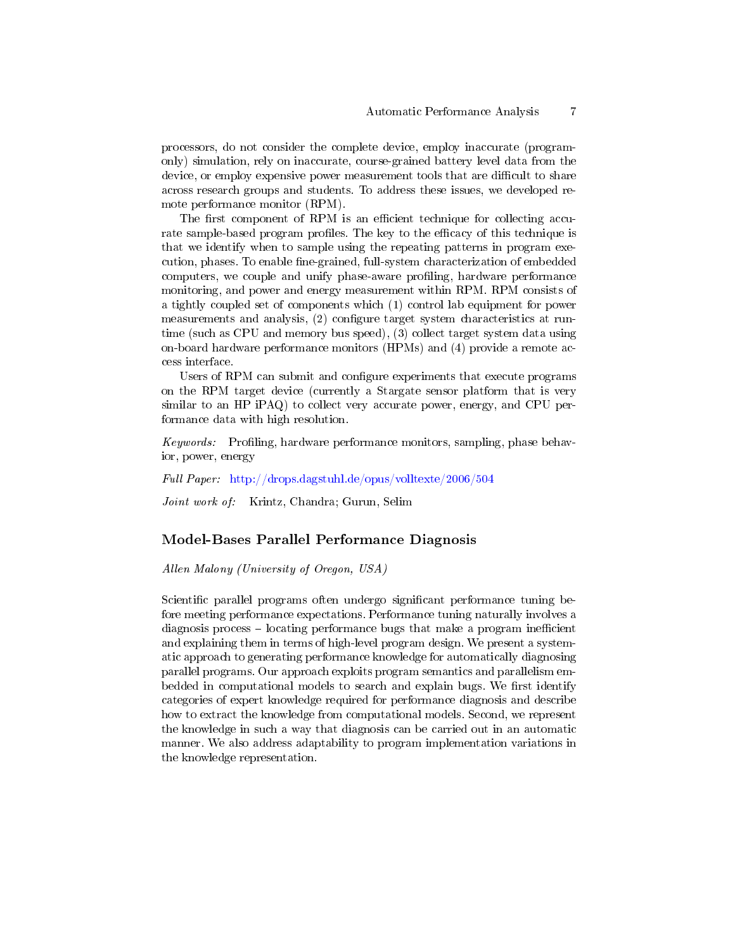processors, do not consider the complete device, employ inaccurate (programonly) simulation, rely on inaccurate, course-grained battery level data from the device, or employ expensive power measurement tools that are difficult to share across research groups and students. To address these issues, we developed remote performance monitor (RPM).

The first component of RPM is an efficient technique for collecting accurate sample-based program profiles. The key to the efficacy of this technique is that we identify when to sample using the repeating patterns in program execution, phases. To enable fine-grained, full-system characterization of embedded computers, we couple and unify phase-aware profiling, hardware performance monitoring, and power and energy measurement within RPM. RPM consists of a tightly coupled set of components which (1) control lab equipment for power measurements and analysis,  $(2)$  configure target system characteristics at runtime (such as CPU and memory bus speed), (3) collect target system data using on-board hardware performance monitors (HPMs) and (4) provide a remote access interface.

Users of RPM can submit and configure experiments that execute programs on the RPM target device (currently a Stargate sensor platform that is very similar to an HP iPAQ) to collect very accurate power, energy, and CPU performance data with high resolution.

Keywords: Profiling, hardware performance monitors, sampling, phase behavior, power, energy

Full Paper: <http://drops.dagstuhl.de/opus/volltexte/2006/504>

Joint work of: Krintz, Chandra; Gurun, Selim

#### Model-Bases Parallel Performance Diagnosis

Allen Malony (University of Oregon, USA)

Scientific parallel programs often undergo significant performance tuning before meeting performance expectations. Performance tuning naturally involves a diagnosis process  $\overline{\phantom{a}}$  locating performance bugs that make a program inefficient and explaining them in terms of high-level program design. We present a systematic approach to generating performance knowledge for automatically diagnosing parallel programs. Our approach exploits program semantics and parallelism embedded in computational models to search and explain bugs. We first identify categories of expert knowledge required for performance diagnosis and describe how to extract the knowledge from computational models. Second, we represent the knowledge in such a way that diagnosis can be carried out in an automatic manner. We also address adaptability to program implementation variations in the knowledge representation.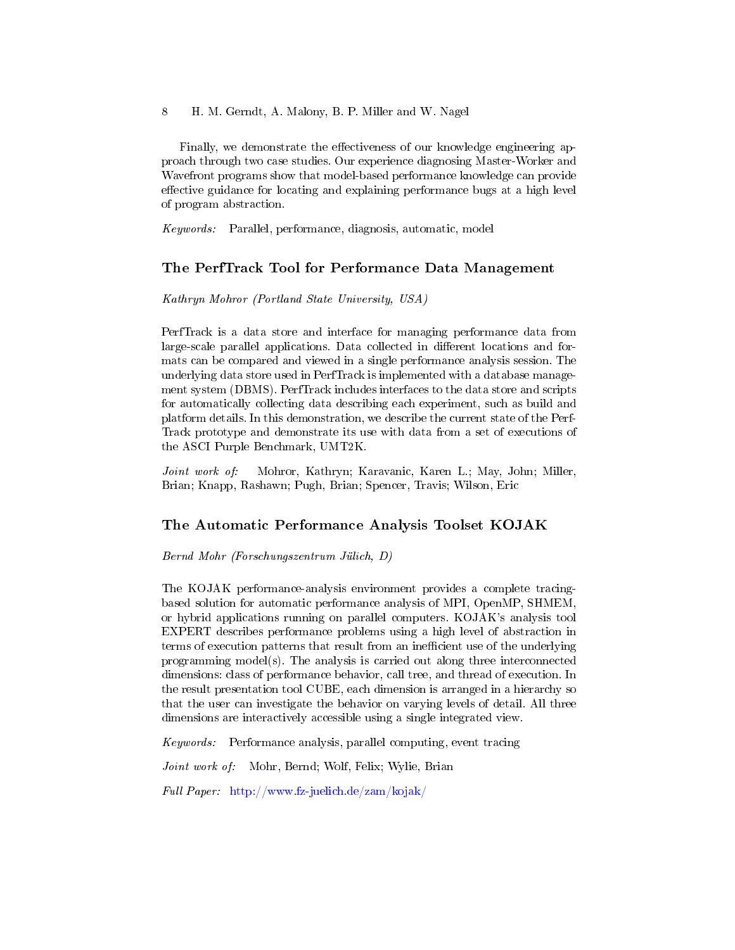8 H. M. Gerndt, A. Malony, B. P. Miller and W. Nagel

Finally, we demonstrate the effectiveness of our knowledge engineering approach through two case studies. Our experience diagnosing Master-Worker and Wavefront programs show that model-based performance knowledge can provide effective guidance for locating and explaining performance bugs at a high level of program abstraction.

Keywords: Parallel, performance, diagnosis, automatic, model

### The PerfTrack Tool for Performance Data Management

#### Kathryn Mohror (Portland State University, USA)

PerfTrack is a data store and interface for managing performance data from large-scale parallel applications. Data collected in different locations and formats can be compared and viewed in a single performance analysis session. The underlying data store used in PerfTrack is implemented with a database management system (DBMS). PerfTrack includes interfaces to the data store and scripts for automatically collecting data describing each experiment, such as build and platform details. In this demonstration, we describe the current state of the Perf-Track prototype and demonstrate its use with data from a set of executions of the ASCI Purple Benchmark, UMT2K.

Joint work of: Mohror, Kathryn; Karavanic, Karen L.; May, John; Miller, Brian; Knapp, Rashawn; Pugh, Brian; Spencer, Travis; Wilson, Eric

### The Automatic Performance Analysis Toolset KOJAK

Bernd Mohr (Forschungszentrum Jülich, D)

The KOJAK performance-analysis environment provides a complete tracingbased solution for automatic performance analysis of MPI, OpenMP, SHMEM, or hybrid applications running on parallel computers. KOJAK's analysis tool EXPERT describes performance problems using a high level of abstraction in terms of execution patterns that result from an inefficient use of the underlying programming model(s). The analysis is carried out along three interconnected dimensions: class of performance behavior, call tree, and thread of execution. In the result presentation tool CUBE, each dimension is arranged in a hierarchy so that the user can investigate the behavior on varying levels of detail. All three dimensions are interactively accessible using a single integrated view.

Keywords: Performance analysis, parallel computing, event tracing

Joint work of: Mohr, Bernd; Wolf, Felix; Wylie, Brian

Full Paper: <http://www.fz-juelich.de/zam/kojak/>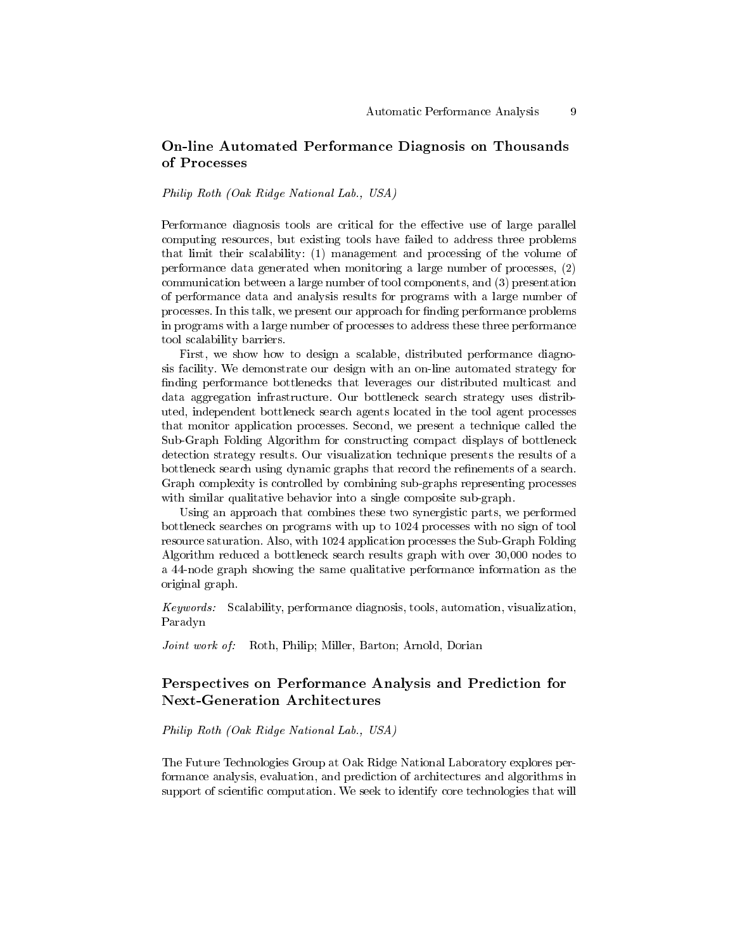## On-line Automated Performance Diagnosis on Thousands of Processes

Philip Roth (Oak Ridge National Lab., USA)

Performance diagnosis tools are critical for the effective use of large parallel computing resources, but existing tools have failed to address three problems that limit their scalability: (1) management and processing of the volume of performance data generated when monitoring a large number of processes, (2) communication between a large number of tool components, and (3) presentation of performance data and analysis results for programs with a large number of processes. In this talk, we present our approach for finding performance problems in programs with a large number of processes to address these three performance tool scalability barriers.

First, we show how to design a scalable, distributed performance diagnosis facility. We demonstrate our design with an on-line automated strategy for finding performance bottlenecks that leverages our distributed multicast and data aggregation infrastructure. Our bottleneck search strategy uses distributed, independent bottleneck search agents located in the tool agent processes that monitor application processes. Second, we present a technique called the Sub-Graph Folding Algorithm for constructing compact displays of bottleneck detection strategy results. Our visualization technique presents the results of a bottleneck search using dynamic graphs that record the refinements of a search. Graph complexity is controlled by combining sub-graphs representing processes with similar qualitative behavior into a single composite sub-graph.

Using an approach that combines these two synergistic parts, we performed bottleneck searches on programs with up to 1024 processes with no sign of tool resource saturation. Also, with 1024 application processes the Sub-Graph Folding Algorithm reduced a bottleneck search results graph with over 30,000 nodes to a 44-node graph showing the same qualitative performance information as the original graph.

Keywords: Scalability, performance diagnosis, tools, automation, visualization, Paradyn

Joint work of: Roth, Philip; Miller, Barton; Arnold, Dorian

### Perspectives on Performance Analysis and Prediction for Next-Generation Architectures

Philip Roth (Oak Ridge National Lab., USA)

The Future Technologies Group at Oak Ridge National Laboratory explores performance analysis, evaluation, and prediction of architectures and algorithms in support of scientific computation. We seek to identify core technologies that will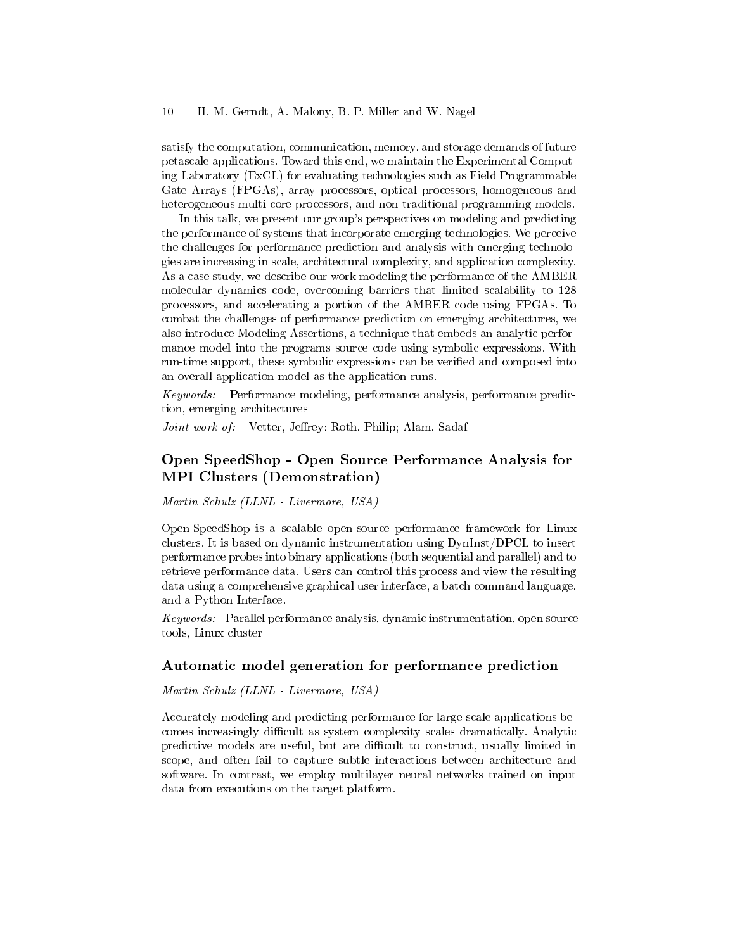satisfy the computation, communication, memory, and storage demands of future petascale applications. Toward this end, we maintain the Experimental Computing Laboratory (ExCL) for evaluating technologies such as Field Programmable Gate Arrays (FPGAs), array processors, optical processors, homogeneous and heterogeneous multi-core processors, and non-traditional programming models.

In this talk, we present our group's perspectives on modeling and predicting the performance of systems that incorporate emerging technologies. We perceive the challenges for performance prediction and analysis with emerging technologies are increasing in scale, architectural complexity, and application complexity. As a case study, we describe our work modeling the performance of the AMBER molecular dynamics code, overcoming barriers that limited scalability to 128 processors, and accelerating a portion of the AMBER code using FPGAs. To combat the challenges of performance prediction on emerging architectures, we also introduce Modeling Assertions, a technique that embeds an analytic performance model into the programs source code using symbolic expressions. With run-time support, these symbolic expressions can be verified and composed into an overall application model as the application runs.

Keywords: Performance modeling, performance analysis, performance prediction, emerging architectures

Joint work of: Vetter, Jeffrey; Roth, Philip; Alam, Sadaf

### Open|SpeedShop - Open Source Performance Analysis for MPI Clusters (Demonstration)

Martin Schulz (LLNL - Livermore, USA)

Open|SpeedShop is a scalable open-source performance framework for Linux clusters. It is based on dynamic instrumentation using DynInst/DPCL to insert performance probes into binary applications (both sequential and parallel) and to retrieve performance data. Users can control this process and view the resulting data using a comprehensive graphical user interface, a batch command language, and a Python Interface.

Keywords: Parallel performance analysis, dynamic instrumentation, open source tools, Linux cluster

### Automatic model generation for performance prediction

#### Martin Schulz (LLNL - Livermore, USA)

Accurately modeling and predicting performance for large-scale applications becomes increasingly difficult as system complexity scales dramatically. Analytic predictive models are useful, but are difficult to construct, usually limited in scope, and often fail to capture subtle interactions between architecture and software. In contrast, we employ multilayer neural networks trained on input data from executions on the target platform.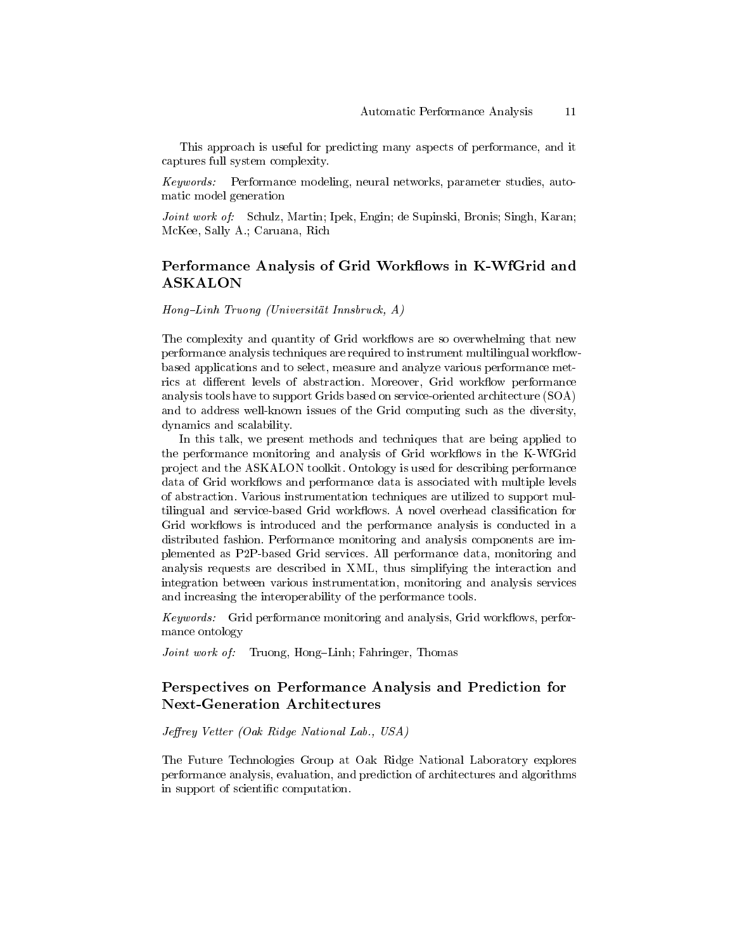This approach is useful for predicting many aspects of performance, and it captures full system complexity.

Keywords: Performance modeling, neural networks, parameter studies, automatic model generation

Joint work of: Schulz, Martin; Ipek, Engin; de Supinski, Bronis; Singh, Karan; McKee, Sally A.; Caruana, Rich

### Performance Analysis of Grid Workflows in K-WfGrid and ASKALON

Hong-Linh Truong (Universität Innsbruck, A)

The complexity and quantity of Grid workflows are so overwhelming that new performance analysis techniques are required to instrument multilingual workflowbased applications and to select, measure and analyze various performance metrics at different levels of abstraction. Moreover, Grid workflow performance analysis tools have to support Grids based on service-oriented architecture (SOA) and to address well-known issues of the Grid computing such as the diversity, dynamics and scalability.

In this talk, we present methods and techniques that are being applied to the performance monitoring and analysis of Grid workflows in the K-WfGrid project and the ASKALON toolkit. Ontology is used for describing performance data of Grid workflows and performance data is associated with multiple levels of abstraction. Various instrumentation techniques are utilized to support multilingual and service-based Grid workflows. A novel overhead classification for Grid workflows is introduced and the performance analysis is conducted in a distributed fashion. Performance monitoring and analysis components are implemented as P2P-based Grid services. All performance data, monitoring and analysis requests are described in XML, thus simplifying the interaction and integration between various instrumentation, monitoring and analysis services and increasing the interoperability of the performance tools.

Keywords: Grid performance monitoring and analysis, Grid workflows, performance ontology

Joint work of: Truong, Hong-Linh; Fahringer, Thomas

## Perspectives on Performance Analysis and Prediction for Next-Generation Architectures

#### $Jeffrey$  Vetter (Oak Ridge National Lab., USA)

The Future Technologies Group at Oak Ridge National Laboratory explores performance analysis, evaluation, and prediction of architectures and algorithms in support of scientific computation.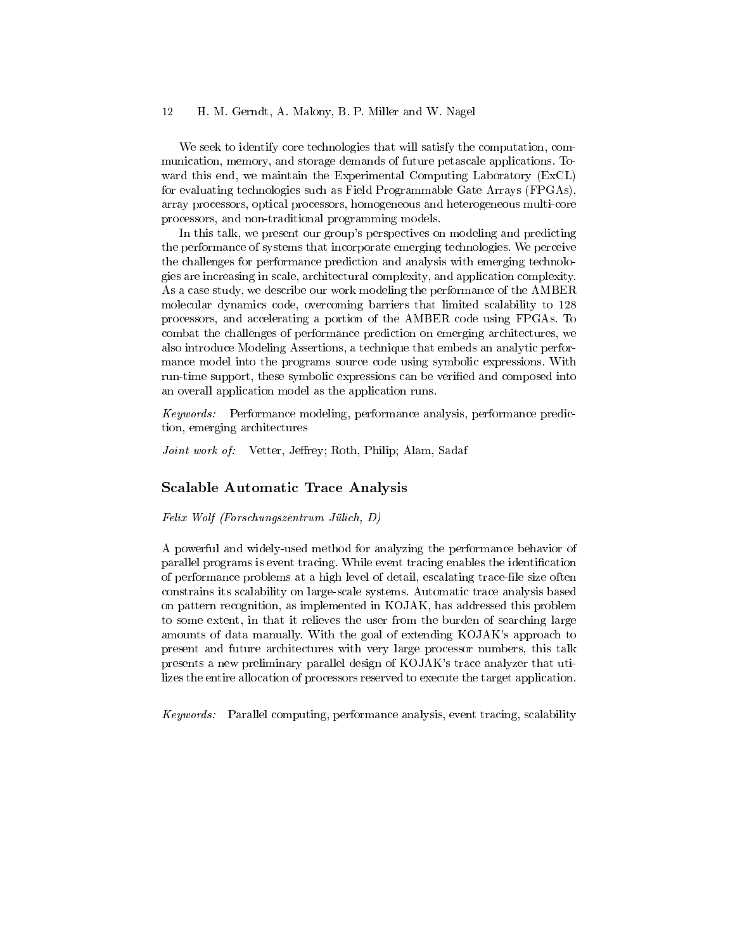#### 12 H. M. Gerndt, A. Malony, B. P. Miller and W. Nagel

We seek to identify core technologies that will satisfy the computation, communication, memory, and storage demands of future petascale applications. Toward this end, we maintain the Experimental Computing Laboratory (ExCL) for evaluating technologies such as Field Programmable Gate Arrays (FPGAs), array processors, optical processors, homogeneous and heterogeneous multi-core processors, and non-traditional programming models.

In this talk, we present our group's perspectives on modeling and predicting the performance of systems that incorporate emerging technologies. We perceive the challenges for performance prediction and analysis with emerging technologies are increasing in scale, architectural complexity, and application complexity. As a case study, we describe our work modeling the performance of the AMBER molecular dynamics code, overcoming barriers that limited scalability to 128 processors, and accelerating a portion of the AMBER code using FPGAs. To combat the challenges of performance prediction on emerging architectures, we also introduce Modeling Assertions, a technique that embeds an analytic performance model into the programs source code using symbolic expressions. With run-time support, these symbolic expressions can be verified and composed into an overall application model as the application runs.

Keywords: Performance modeling, performance analysis, performance prediction, emerging architectures

Joint work of: Vetter, Jeffrey; Roth, Philip; Alam, Sadaf

#### Scalable Automatic Trace Analysis

Felix Wolf (Forschungszentrum Jülich, D)

A powerful and widely-used method for analyzing the performance behavior of parallel programs is event tracing. While event tracing enables the identification of performance problems at a high level of detail, escalating trace-file size often constrains its scalability on large-scale systems. Automatic trace analysis based on pattern recognition, as implemented in KOJAK, has addressed this problem to some extent, in that it relieves the user from the burden of searching large amounts of data manually. With the goal of extending KOJAK's approach to present and future architectures with very large processor numbers, this talk presents a new preliminary parallel design of KOJAK's trace analyzer that utilizes the entire allocation of processors reserved to execute the target application.

Keywords: Parallel computing, performance analysis, event tracing, scalability